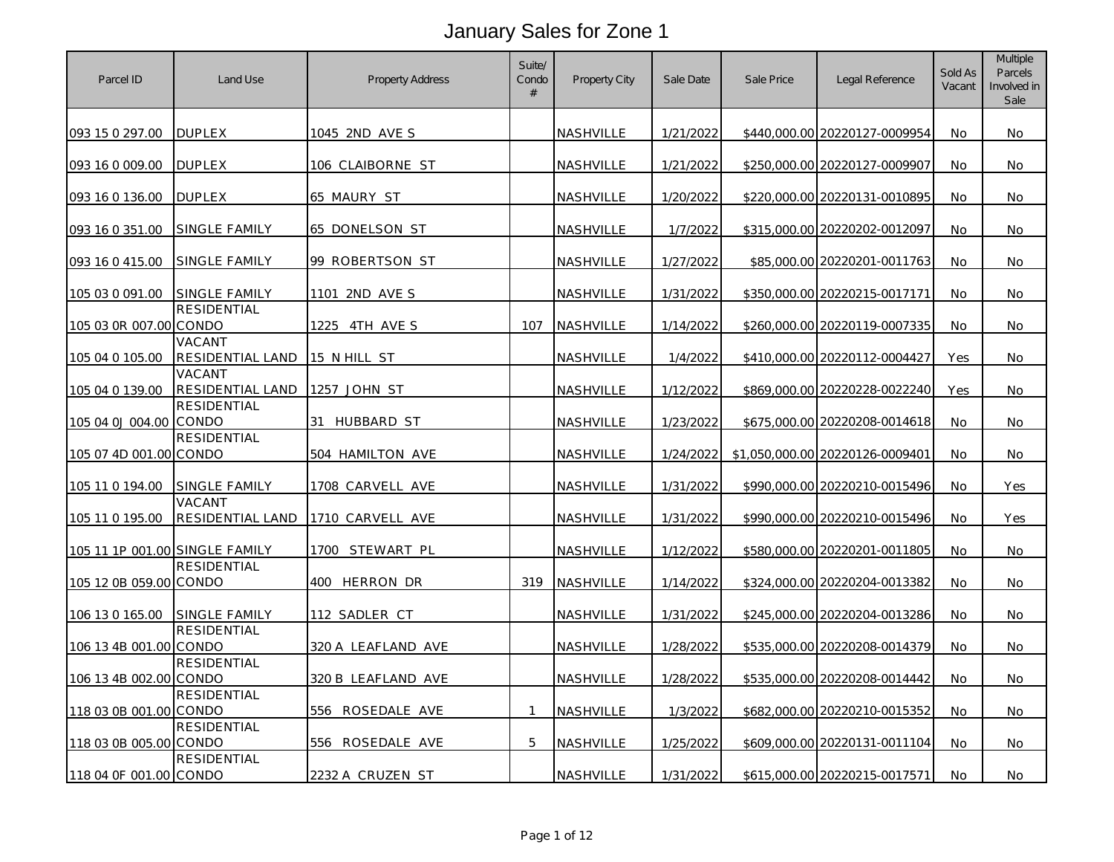| Parcel ID                      | Land Use                   | <b>Property Address</b> | Suite/<br>Condo<br># | Property City    | Sale Date | Sale Price | Legal Reference                 | Sold As<br>Vacant | Multiple<br>Parcels<br>Involved in<br>Sale |
|--------------------------------|----------------------------|-------------------------|----------------------|------------------|-----------|------------|---------------------------------|-------------------|--------------------------------------------|
| 093 15 0 297.00                | <b>DUPLEX</b>              | 1045 2ND AVE S          |                      | NASHVILLE        | 1/21/2022 |            | \$440,000.00 20220127-0009954   | No                | No                                         |
| 093 16 0 009.00                | <b>DUPLEX</b>              | 106 CLAIBORNE ST        |                      | NASHVILLE        | 1/21/2022 |            | \$250,000,00 20220127-0009907   | No.               | No                                         |
| 093 16 0 136.00                | <b>DUPLEX</b>              | 65 MAURY ST             |                      | NASHVILLE        | 1/20/2022 |            | \$220,000.00 20220131-0010895   | No.               | No                                         |
| 093 16 0 351.00                | SINGLE FAMILY              | 65 DONELSON ST          |                      | NASHVILLE        | 1/7/2022  |            | \$315,000.00 20220202-0012097   | <b>No</b>         | <b>No</b>                                  |
| 093 16 0 415.00                | SINGLE FAMILY              | 99 ROBERTSON ST         |                      | NASHVILLE        | 1/27/2022 |            | \$85,000.00 20220201-0011763    | <b>No</b>         | No                                         |
| 105 03 0 091.00                | <b>SINGLE FAMILY</b>       | 1101 2ND AVE S          |                      | NASHVILLE        | 1/31/2022 |            | \$350,000.00 20220215-0017171   | No.               | No                                         |
| 105 03 0R 007.00 CONDO         | <b>RESIDENTIAL</b>         | 1225 4TH AVE S          | 107                  | NASHVILLE        | 1/14/2022 |            | \$260,000.00 20220119-0007335   | No.               | No                                         |
| 105 04 0 105.00                | VACANT<br>RESIDENTIAL LAND | 15 N HILL ST            |                      | <u>NASHVILLE</u> | 1/4/2022  |            | \$410,000.00 20220112-0004427   | Yes               | No                                         |
| 105 04 0 139.00                | VACANT<br>RESIDENTIAL LAND | 1257 JOHN ST            |                      | NASHVILLE        | 1/12/2022 |            | \$869,000.00 20220228-0022240   | Yes               | No                                         |
| 105 04 0J 004.00               | RESIDENTIAL<br>CONDO       | HUBBARD ST<br>31        |                      | NASHVILLE        | 1/23/2022 |            | \$675,000.00 20220208-0014618   | No                | No                                         |
| 105 07 4D 001.00 CONDO         | <b>RESIDENTIAL</b>         | 504 HAMILTON AVE        |                      | NASHVILLE        | 1/24/2022 |            | \$1,050,000.00 20220126-0009401 | No.               | No                                         |
| 105 11 0 194.00                | SINGLE FAMILY              | 1708 CARVELL AVE        |                      | NASHVILLE        | 1/31/2022 |            | \$990,000.00 20220210-0015496   | No                | Yes                                        |
| 105 11 0 195.00                | VACANT<br>RESIDENTIAL LAND | 1710 CARVELL AVE        |                      | NASHVILLE        | 1/31/2022 |            | \$990,000.00 20220210-0015496   | No                | Yes                                        |
| 105 11 1P 001.00 SINGLE FAMILY |                            | 1700 STEWART PL         |                      | <u>NASHVILLE</u> | 1/12/2022 |            | \$580,000.00 20220201-0011805   | No.               | No                                         |
| 105 12 0B 059.00 CONDO         | <b>RESIDENTIAL</b>         | 400 HERRON DR           | 319                  | NASHVILLE        | 1/14/2022 |            | \$324,000.00 20220204-0013382   | <b>No</b>         | No                                         |
| 106 13 0 165.00                | <b>SINGLE FAMILY</b>       | 112 SADLER CT           |                      | NASHVILLE        | 1/31/2022 |            | \$245,000.00 20220204-0013286   | No.               | No                                         |
| 106 13 4B 001.00 CONDO         | <b>RESIDENTIAL</b>         | 320 A LEAFLAND AVE      |                      | NASHVILLE        | 1/28/2022 |            | \$535,000.00 20220208-0014379   | No.               | No                                         |
| 106 13 4B 002.00 CONDO         | <b>RESIDENTIAL</b>         | 320 B LEAFLAND AVE      |                      | NASHVILLE        | 1/28/2022 |            | \$535,000.00 20220208-0014442   | No.               | No.                                        |
| 118 03 0B 001.00 CONDO         | <b>RESIDENTIAL</b>         | 556 ROSEDALE AVE        | $\mathbf{1}$         | NASHVILLE        | 1/3/2022  |            | \$682,000.00 20220210-0015352   | <b>No</b>         | No                                         |
| 118 03 0B 005.00 CONDO         | RESIDENTIAL                | 556 ROSEDALE AVE        | 5                    | NASHVILLE        | 1/25/2022 |            | \$609,000.00 20220131-0011104   | No.               | No.                                        |
| 118 04 0F 001.00 CONDO         | <b>RESIDENTIAL</b>         | 2232 A CRUZEN ST        |                      | NASHVILLE        | 1/31/2022 |            | \$615,000.00 20220215-0017571   | No.               | No                                         |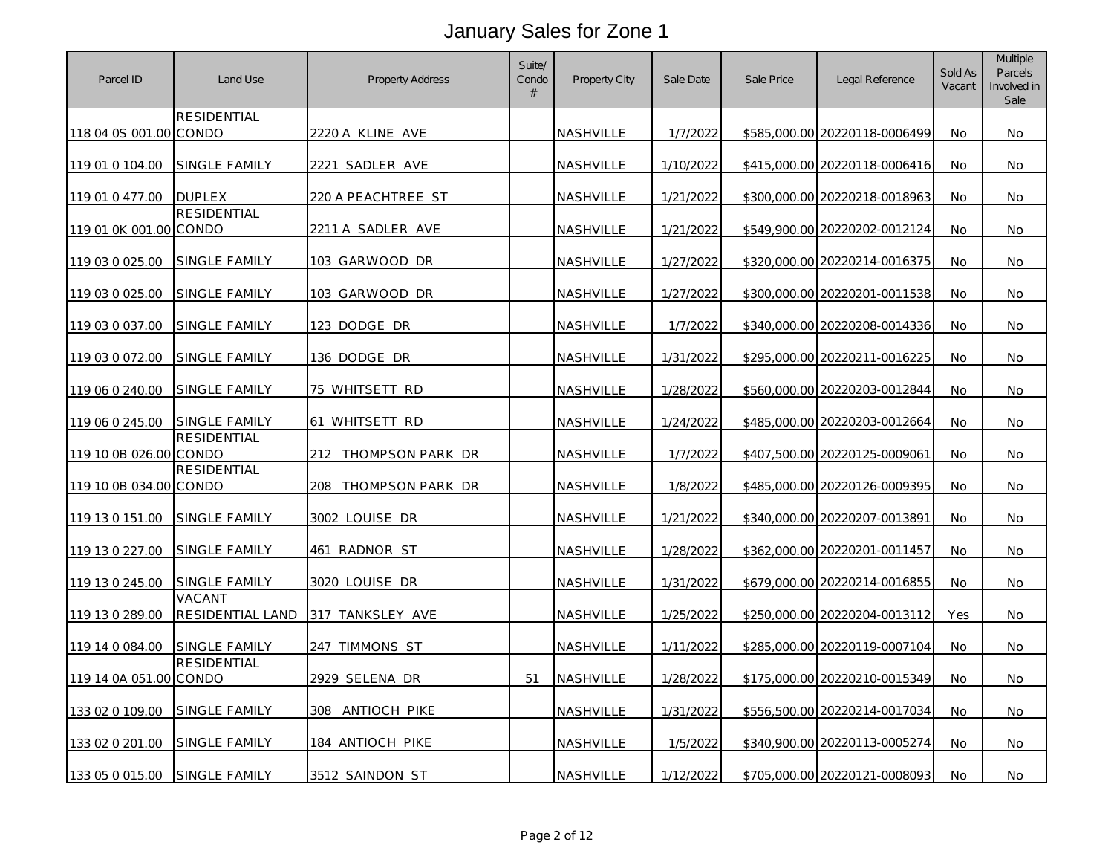| Parcel ID              | Land Use                   | <b>Property Address</b> | Suite/<br>Condo<br># | <b>Property City</b> | Sale Date | Sale Price | Legal Reference               | Sold As<br>Vacant | Multiple<br>Parcels<br>Involved in<br>Sale |
|------------------------|----------------------------|-------------------------|----------------------|----------------------|-----------|------------|-------------------------------|-------------------|--------------------------------------------|
| 118 04 0S 001.00 CONDO | <b>RESIDENTIAL</b>         | 2220 A KLINE AVE        |                      | NASHVILLE            | 1/7/2022  |            | \$585,000.00 20220118-0006499 | No                | No                                         |
| 119 01 0 104.00        | SINGLE FAMILY              | 2221 SADLER AVE         |                      | NASHVILLE            | 1/10/2022 |            | \$415,000.00 20220118-0006416 | No                | No                                         |
| 119 01 0 477.00        | <b>DUPLEX</b>              | 220 A PEACHTREE ST      |                      | <b>NASHVILLE</b>     | 1/21/2022 |            | \$300,000.00 20220218-0018963 | No                | No                                         |
| 119 01 0K 001.00 CONDO | <b>RESIDENTIAL</b>         | 2211 A SADLER AVE       |                      | NASHVILLE            | 1/21/2022 |            | \$549,900.00 20220202-0012124 | <b>No</b>         | No                                         |
| 119 03 0 025.00        | SINGLE FAMILY              | 103 GARWOOD DR          |                      | <b>NASHVILLE</b>     | 1/27/2022 |            | \$320,000.00 20220214-0016375 | No.               | No                                         |
| 119 03 0 025.00        | SINGLE FAMILY              | 103 GARWOOD DR          |                      | NASHVILLE            | 1/27/2022 |            | \$300,000,00 20220201-0011538 | No.               | No                                         |
| 119 03 0 037.00        | <b>SINGLE FAMILY</b>       | 123 DODGE DR            |                      | NASHVILLE            | 1/7/2022  |            | \$340,000.00 20220208-0014336 | <b>No</b>         | No.                                        |
| 119 03 0 072.00        | SINGLE FAMILY              | 136 DODGE DR            |                      | NASHVILLE            | 1/31/2022 |            | \$295,000.00 20220211-0016225 | No                | No                                         |
| 119 06 0 240.00        | SINGLE FAMILY              | 75 WHITSETT RD          |                      | NASHVILLE            | 1/28/2022 |            | \$560,000.00 20220203-0012844 | <b>No</b>         | <b>No</b>                                  |
| 119 06 0 245.00        | <b>SINGLE FAMILY</b>       | 61 WHITSETT RD          |                      | NASHVILLE            | 1/24/2022 |            | \$485,000,00 20220203-0012664 | No.               | No                                         |
| 119 10 0B 026.00 CONDO | <b>RESIDENTIAL</b>         | 212 THOMPSON PARK DR    |                      | NASHVILLE            | 1/7/2022  |            | \$407,500.00 20220125-0009061 | No.               | No                                         |
| 119 10 0B 034.00 CONDO | <b>RESIDENTIAL</b>         | THOMPSON PARK DR<br>208 |                      | NASHVILLE            | 1/8/2022  |            | \$485,000.00 20220126-0009395 | No                | No                                         |
| 119 13 0 151.00        | SINGLE FAMILY              | 3002 LOUISE DR          |                      | NASHVILLE            | 1/21/2022 |            | \$340,000.00 20220207-0013891 | No.               | No                                         |
| 119 13 0 227.00        | <b>SINGLE FAMILY</b>       | 461 RADNOR ST           |                      | NASHVILLE            | 1/28/2022 |            | \$362,000.00 20220201-0011457 | <b>No</b>         | No.                                        |
| 119 13 0 245.00        | SINGLE FAMILY              | 3020 LOUISE DR          |                      | NASHVILLE            | 1/31/2022 |            | \$679,000.00 20220214-0016855 | <b>No</b>         | <b>No</b>                                  |
| 119 13 0 289.00        | VACANT<br>RESIDENTIAL LAND | 317 TANKSLEY AVE        |                      | NASHVILLE            | 1/25/2022 |            | \$250,000.00 20220204-0013112 | Yes               | No.                                        |
| 119 14 0 084.00        | SINGLE FAMILY              | 247 TIMMONS ST          |                      | NASHVILLE            | 1/11/2022 |            | \$285,000.00 20220119-0007104 | No.               | No                                         |
| 119 14 0A 051.00 CONDO | <b>RESIDENTIAL</b>         | 2929 SELENA DR          | 51                   | NASHVILLE            | 1/28/2022 |            | \$175,000.00 20220210-0015349 | No.               | No                                         |
| 133 02 0 109.00        | SINGLE FAMILY              | 308<br>ANTIOCH PIKE     |                      | NASHVILLE            | 1/31/2022 |            | \$556,500.00 20220214-0017034 | No                | No                                         |
| 133 02 0 201.00        | SINGLE FAMILY              | 184 ANTIOCH PIKE        |                      | NASHVILLE            | 1/5/2022  |            | \$340,900.00 20220113-0005274 | No                | No                                         |
| 133 05 0 015.00        | SINGLE FAMILY              | 3512 SAINDON ST         |                      | NASHVILLE            | 1/12/2022 |            | \$705,000.00 20220121-0008093 | No                | No                                         |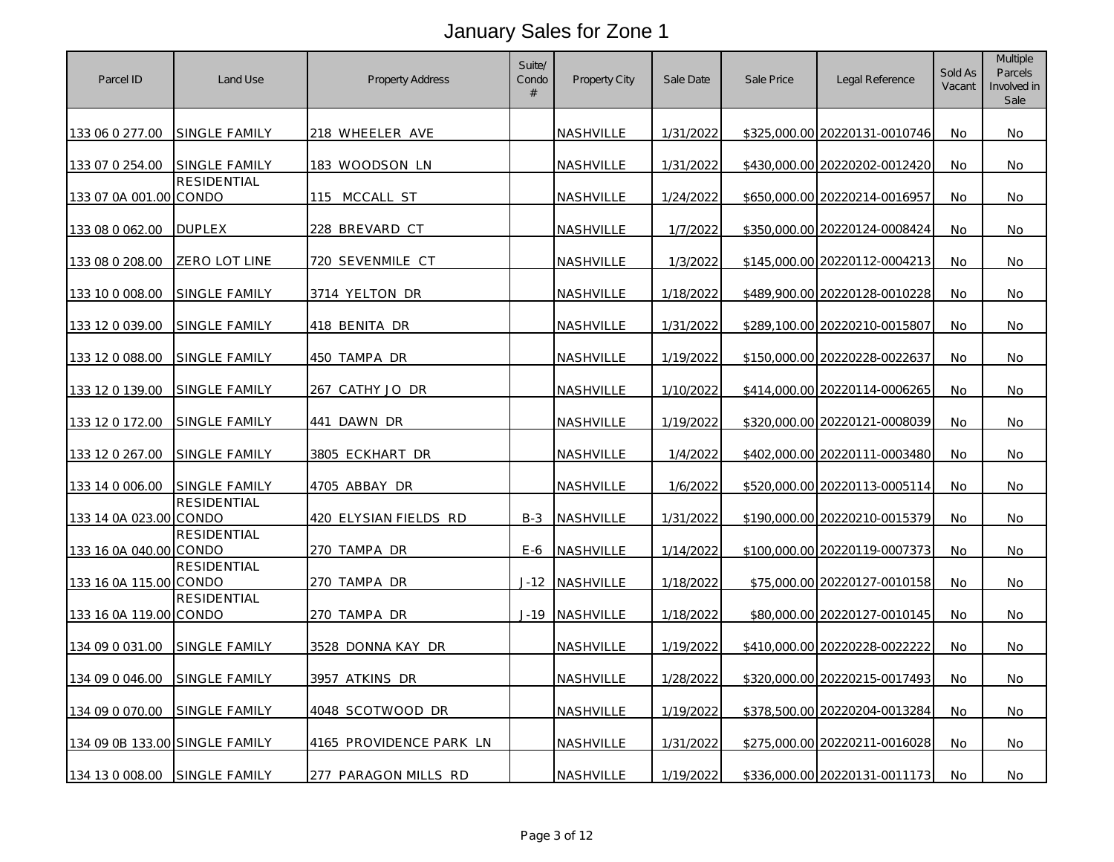| Parcel ID                      | Land Use             | <b>Property Address</b> | Suite/<br>Condo<br># | Property City    | Sale Date | Sale Price | Legal Reference               | Sold As<br>Vacant | <b>Multiple</b><br>Parcels<br>Involved in<br>Sale |
|--------------------------------|----------------------|-------------------------|----------------------|------------------|-----------|------------|-------------------------------|-------------------|---------------------------------------------------|
| 133 06 0 277.00                | <b>SINGLE FAMILY</b> | 218 WHEELER AVE         |                      | <b>NASHVILLE</b> | 1/31/2022 |            | \$325,000.00 20220131-0010746 | No.               | No.                                               |
| 133 07 0 254.00                | <b>SINGLE FAMILY</b> | 183 WOODSON LN          |                      | NASHVILLE        | 1/31/2022 |            | \$430,000,00 20220202-0012420 | No.               | No                                                |
| 133 07 0A 001.00 CONDO         | <b>RESIDENTIAL</b>   | 115 MCCALL ST           |                      | NASHVILLE        | 1/24/2022 |            | \$650,000.00 20220214-0016957 | No.               | No                                                |
| 133 08 0 062.00                | <b>DUPLEX</b>        | 228 BREVARD CT          |                      | <b>NASHVILLE</b> | 1/7/2022  |            | \$350,000.00 20220124-0008424 | No                | No                                                |
| 133 08 0 208.00                | ZERO LOT LINE        | 720 SEVENMILE CT        |                      | NASHVILLE        | 1/3/2022  |            | \$145,000.00 20220112-0004213 | <b>No</b>         | No                                                |
| 133 10 0 008.00                | SINGLE FAMILY        | 3714 YELTON DR          |                      | <b>NASHVILLE</b> | 1/18/2022 |            | \$489,900.00 20220128-0010228 | No.               | No                                                |
| 133 12 0 039.00                | SINGLE FAMILY        | 418 BENITA DR           |                      | NASHVILLE        | 1/31/2022 |            | \$289,100.00 20220210-0015807 | <b>No</b>         | No                                                |
| 133 12 0 088.00                | SINGLE FAMILY        | 450 TAMPA DR            |                      | NASHVILLE        | 1/19/2022 |            | \$150,000.00 20220228-0022637 | No                | No                                                |
| 133 12 0 139.00                | SINGLE FAMILY        | 267 CATHY JO DR         |                      | <b>NASHVILLE</b> | 1/10/2022 |            | \$414,000.00 20220114-0006265 | No                | No                                                |
| 133 12 0 172.00                | <b>SINGLE FAMILY</b> | 441 DAWN DR             |                      | NASHVILLE        | 1/19/2022 |            | \$320,000.00 20220121-0008039 | No.               | No                                                |
| <u>133 12 0 267.00</u>         | SINGLE FAMILY        | 3805 ECKHART DR         |                      | NASHVILLE        | 1/4/2022  |            | \$402,000.00 20220111-0003480 | No                | <b>No</b>                                         |
| 133 14 0 006.00                | SINGLE FAMILY        | 4705 ABBAY DR           |                      | NASHVILLE        | 1/6/2022  |            | \$520,000.00 20220113-0005114 | <b>No</b>         | No                                                |
| 133 14 0A 023.00 CONDO         | RESIDENTIAL          | 420 ELYSIAN FIELDS RD   | $B-3$                | NASHVILLE        | 1/31/2022 |            | \$190,000.00 20220210-0015379 | No.               | No                                                |
| 133 16 0A 040.00 CONDO         | <b>RESIDENTIAL</b>   | 270 TAMPA DR            | $E-6$                | <b>NASHVILLE</b> | 1/14/2022 |            | \$100,000.00 20220119-0007373 | No                | No                                                |
| 133 16 0A 115.00 CONDO         | <b>RESIDENTIAL</b>   | 270 TAMPA DR            | $J-12$               | <b>NASHVILLE</b> | 1/18/2022 |            | \$75,000.00 20220127-0010158  | <b>No</b>         | No                                                |
| 133 16 0A 119.00 CONDO         | <b>RESIDENTIAL</b>   | 270 TAMPA DR            |                      | J-19 NASHVILLE   | 1/18/2022 |            | \$80,000.00 20220127-0010145  | No.               | No                                                |
| 134 09 0 031.00                | <b>SINGLE FAMILY</b> | 3528 DONNA KAY DR       |                      | <b>NASHVILLE</b> | 1/19/2022 |            | \$410,000.00 20220228-0022222 | No.               | No                                                |
| 134 09 0 046.00                | <b>SINGLE FAMILY</b> | 3957 ATKINS DR          |                      | NASHVILLE        | 1/28/2022 |            | \$320,000.00 20220215-0017493 | No.               | No                                                |
| 134 09 0 070.00                | SINGLE FAMILY        | 4048 SCOTWOOD DR        |                      | NASHVILLE        | 1/19/2022 |            | \$378,500.00 20220204-0013284 | <b>No</b>         | No                                                |
| 134 09 0B 133.00 SINGLE FAMILY |                      | 4165 PROVIDENCE PARK LN |                      | NASHVILLE        | 1/31/2022 |            | \$275,000.00 20220211-0016028 | <b>No</b>         | No                                                |
| 134 13 0 008.00                | <b>SINGLE FAMILY</b> | 277 PARAGON MILLS RD    |                      | NASHVILLE        | 1/19/2022 |            | \$336,000.00 20220131-0011173 | No                | No                                                |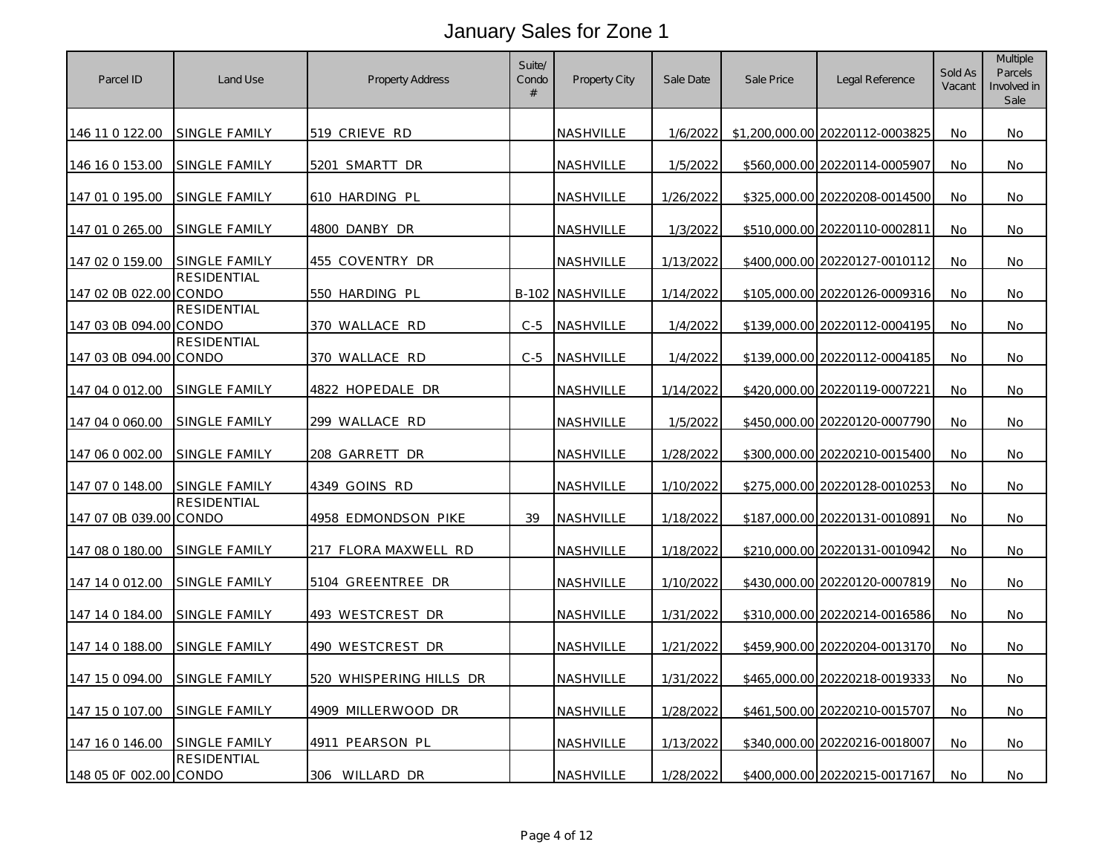| Parcel ID              | Land Use             | <b>Property Address</b> | Suite/<br>Condo<br># | Property City    | Sale Date | Sale Price | Legal Reference                 | Sold As<br>Vacant | Multiple<br>Parcels<br>Involved in<br>Sale |
|------------------------|----------------------|-------------------------|----------------------|------------------|-----------|------------|---------------------------------|-------------------|--------------------------------------------|
| 146 11 0 122.00        | <b>SINGLE FAMILY</b> | 519 CRIEVE RD           |                      | <b>NASHVILLE</b> | 1/6/2022  |            | \$1,200,000.00 20220112-0003825 | No.               | No.                                        |
| 146 16 0 153.00        | SINGLE FAMILY        | 5201 SMARTT DR          |                      | NASHVILLE        | 1/5/2022  |            | \$560,000.00 20220114-0005907   | No.               | No                                         |
| 147 01 0 195.00        | SINGLE FAMILY        | 610 HARDING PL          |                      | <b>NASHVILLE</b> | 1/26/2022 |            | \$325,000.00 20220208-0014500   | No.               | No.                                        |
| 147 01 0 265.00        | SINGLE FAMILY        | 4800 DANBY DR           |                      | NASHVILLE        | 1/3/2022  |            | \$510,000.00 20220110-0002811   | <b>No</b>         | No                                         |
| 147 02 0 159.00        | <b>SINGLE FAMILY</b> | 455 COVENTRY DR         |                      | NASHVILLE        | 1/13/2022 |            | \$400,000,00 20220127-0010112   | No.               | No.                                        |
| 147 02 0B 022.00 CONDO | <b>RESIDENTIAL</b>   | 550 HARDING PL          |                      | B-102 NASHVILLE  | 1/14/2022 |            | \$105,000.00 20220126-0009316   | No                | <b>No</b>                                  |
| 147 03 0B 094.00 CONDO | <b>RESIDENTIAL</b>   | 370 WALLACE RD          | $C-5$                | <b>NASHVILLE</b> | 1/4/2022  |            | \$139,000.00 20220112-0004195   | No.               | No.                                        |
| 147 03 0B 094.00 CONDO | RESIDENTIAL          | 370 WALLACE RD          | $C-5$                | <b>NASHVILLE</b> | 1/4/2022  |            | \$139,000.00 20220112-0004185   | <b>No</b>         | No                                         |
| 147 04 0 012.00        | SINGLE FAMILY        | 4822 HOPEDALE DR        |                      | NASHVILLE        | 1/14/2022 |            | \$420,000.00 20220119-0007221   | No                | No.                                        |
| 147 04 0 060.00        | <b>SINGLE FAMILY</b> | 299 WALLACE RD          |                      | <b>NASHVILLE</b> | 1/5/2022  |            | \$450,000.00 20220120-0007790   | No.               | No                                         |
| 147 06 0 002.00        | SINGLE FAMILY        | 208 GARRETT DR          |                      | NASHVILLE        | 1/28/2022 |            | \$300,000.00 20220210-0015400   | No.               | No.                                        |
| 147 07 0 148.00        | SINGLE FAMILY        | 4349 GOINS RD           |                      | NASHVILLE        | 1/10/2022 |            | \$275,000.00 20220128-0010253   | <b>No</b>         | <b>No</b>                                  |
| 147 07 0B 039.00 CONDO | <b>RESIDENTIAL</b>   | 4958 EDMONDSON PIKE     | 39                   | NASHVILLE        | 1/18/2022 |            | \$187,000.00 20220131-0010891   | No                | No                                         |
| 147 08 0 180.00        | <b>SINGLE FAMILY</b> | 217 FLORA MAXWELL RD    |                      | <b>NASHVILLE</b> | 1/18/2022 |            | \$210,000.00 20220131-0010942   | No.               | No.                                        |
| 147 14 0 012.00        | SINGLE FAMILY        | 5104 GREENTREE DR       |                      | NASHVILLE        | 1/10/2022 |            | \$430,000.00 20220120-0007819   | <b>No</b>         | No                                         |
| 147 14 0 184.00        | SINGLE FAMILY        | 493 WESTCREST DR        |                      | <b>NASHVILLE</b> | 1/31/2022 |            | \$310,000.00 20220214-0016586   | No.               | No.                                        |
| 147 14 0 188.00        | SINGLE FAMILY        | 490 WESTCREST DR        |                      | NASHVILLE        | 1/21/2022 |            | \$459,900.00 20220204-0013170   | No.               | No                                         |
| 147 15 0 094.00        | SINGLE FAMILY        | 520 WHISPERING HILLS DR |                      | <b>NASHVILLE</b> | 1/31/2022 |            | \$465,000.00 20220218-0019333   | No.               | No.                                        |
| 147 15 0 107.00        | SINGLE FAMILY        | 4909 MILLERWOOD DR      |                      | NASHVILLE        | 1/28/2022 |            | \$461,500.00 20220210-0015707   | <b>No</b>         | No                                         |
| 147 16 0 146.00        | SINGLE FAMILY        | 4911 PEARSON PL         |                      | NASHVILLE        | 1/13/2022 |            | \$340,000,00 20220216-0018007   | No                | No.                                        |
| 148 05 0F 002.00 CONDO | <b>RESIDENTIAL</b>   | 306 WILLARD DR          |                      | <b>NASHVILLE</b> | 1/28/2022 |            | \$400,000.00 20220215-0017167   | No                | No                                         |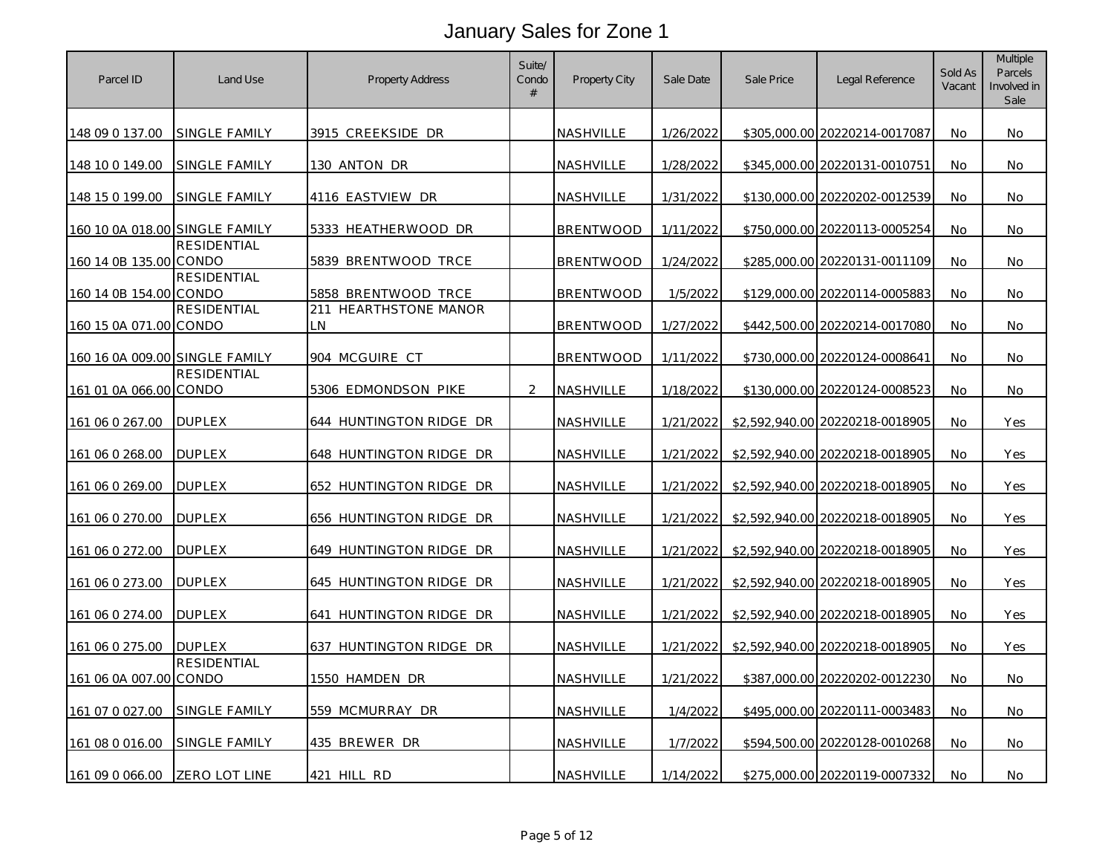| Parcel ID                      | Land Use           | <b>Property Address</b>     | Suite/<br>Condo<br># | Property City    | Sale Date | Sale Price | Legal Reference                 | Sold As<br>Vacant | Multiple<br>Parcels<br>Involved in<br>Sale |
|--------------------------------|--------------------|-----------------------------|----------------------|------------------|-----------|------------|---------------------------------|-------------------|--------------------------------------------|
| 148 09 0 137.00                | SINGLE FAMILY      | 3915 CREEKSIDE DR           |                      | NASHVILLE        | 1/26/2022 |            | \$305,000.00 20220214-0017087   | No.               | No                                         |
| 148 10 0 149.00                | SINGLE FAMILY      | 130 ANTON DR                |                      | NASHVILLE        | 1/28/2022 |            | \$345,000.00 20220131-0010751   | No.               | No                                         |
| 148 15 0 199.00                | SINGLE FAMILY      | 4116 EASTVIEW DR            |                      | NASHVILLE        | 1/31/2022 |            | \$130,000.00 20220202-0012539   | No.               | No                                         |
| 160 10 0A 018.00 SINGLE FAMILY |                    | 5333 HEATHERWOOD DR         |                      | <b>BRENTWOOD</b> | 1/11/2022 |            | \$750,000.00 20220113-0005254   | No                | No                                         |
| 160 14 0B 135.00 CONDO         | <b>RESIDENTIAL</b> | 5839 BRENTWOOD TRCE         |                      | <b>BRENTWOOD</b> | 1/24/2022 |            | \$285,000.00 20220131-0011109   | No.               | No.                                        |
| 160 14 0B 154.00 CONDO         | RESIDENTIAL        | 5858 BRENTWOOD TRCE         |                      | <b>BRENTWOOD</b> | 1/5/2022  |            | \$129,000.00 20220114-0005883   | No                | No                                         |
| 160 15 0A 071.00 CONDO         | RESIDENTIAL        | 211 HEARTHSTONE MANOR<br>LN |                      | <b>BRENTWOOD</b> | 1/27/2022 |            | \$442,500.00 20220214-0017080   | <b>No</b>         | No                                         |
| 160 16 0A 009.00 SINGLE FAMILY |                    | 904 MCGUIRE CT              |                      | <b>BRENTWOOD</b> | 1/11/2022 |            | \$730,000.00 20220124-0008641   | No                | No                                         |
| 161 01 0A 066.00 CONDO         | <b>RESIDENTIAL</b> | 5306 EDMONDSON PIKE         | 2                    | NASHVILLE        | 1/18/2022 |            | \$130,000.00 20220124-0008523   | No                | No                                         |
| 161 06 0 267.00                | <b>DUPLEX</b>      | 644 HUNTINGTON RIDGE DR     |                      | NASHVILLE        | 1/21/2022 |            | \$2,592,940.00 20220218-0018905 | No.               | Yes                                        |
| 161 06 0 268.00                | <b>DUPLEX</b>      | 648 HUNTINGTON RIDGE DR     |                      | NASHVILLE        | 1/21/2022 |            | \$2,592,940.00 20220218-0018905 | No.               | Yes                                        |
| 161 06 0 269.00                | <b>DUPLEX</b>      | 652 HUNTINGTON RIDGE DR     |                      | NASHVILLE        | 1/21/2022 |            | \$2,592,940.00 20220218-0018905 | No.               | Yes                                        |
| 161 06 0 270.00                | <b>DUPLEX</b>      | 656 HUNTINGTON RIDGE DR     |                      | NASHVILLE        | 1/21/2022 |            | \$2.592.940.00 20220218-0018905 | No.               | Yes                                        |
| 161 06 0 272.00                | <b>DUPLEX</b>      | 649 HUNTINGTON RIDGE DR     |                      | NASHVILLE        | 1/21/2022 |            | \$2,592,940.00 20220218-0018905 | No.               | Yes                                        |
| 161 06 0 273.00                | DUPLEX             | 645 HUNTINGTON RIDGE DR     |                      | NASHVILLE        | 1/21/2022 |            | \$2,592,940.00 20220218-0018905 | No                | Yes                                        |
| 161 06 0 274.00                | <b>DUPLEX</b>      | 641 HUNTINGTON RIDGE DR     |                      | NASHVILLE        | 1/21/2022 |            | \$2,592,940.00 20220218-0018905 | No                | Yes                                        |
| 161 06 0 275.00                | <b>DUPLEX</b>      | 637 HUNTINGTON RIDGE DR     |                      | NASHVILLE        | 1/21/2022 |            | \$2,592,940.00 20220218-0018905 | <b>No</b>         | Yes                                        |
| 161 06 0A 007.00 CONDO         | <b>RESIDENTIAL</b> | 1550 HAMDEN DR              |                      | NASHVILLE        | 1/21/2022 |            | \$387,000.00 20220202-0012230   | No.               | No                                         |
| 161 07 0 027.00                | SINGLE FAMILY      | 559 MCMURRAY DR             |                      | NASHVILLE        | 1/4/2022  |            | \$495,000.00 20220111-0003483   | No                | No                                         |
| 161 08 0 016.00                | SINGLE FAMILY      | 435 BREWER DR               |                      | NASHVILLE        | 1/7/2022  |            | \$594,500.00 20220128-0010268   | No                | No                                         |
| 161 09 0 066.00                | ZERO LOT LINE      | 421 HILL RD                 |                      | NASHVILLE        | 1/14/2022 |            | \$275,000.00 20220119-0007332   | No                | No                                         |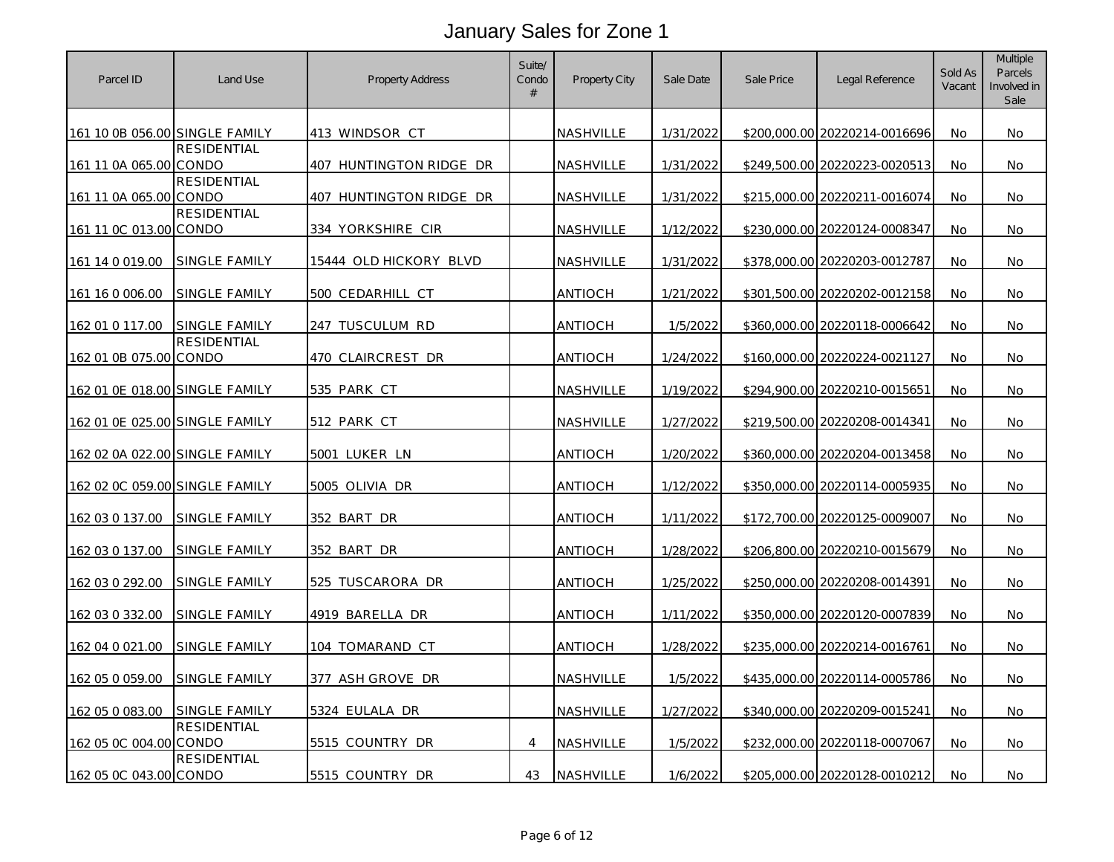| Parcel ID                      | Land Use             | <b>Property Address</b> | Suite/<br>Condo<br># | Property City    | Sale Date | Sale Price | Legal Reference               | Sold As<br>Vacant | Multiple<br>Parcels<br>Involved in<br>Sale |
|--------------------------------|----------------------|-------------------------|----------------------|------------------|-----------|------------|-------------------------------|-------------------|--------------------------------------------|
| 161 10 0B 056.00 SINGLE FAMILY |                      | 413 WINDSOR CT          |                      | NASHVILLE        | 1/31/2022 |            | \$200,000.00 20220214-0016696 | No                | No                                         |
| 161 11 0A 065.00 CONDO         | <b>RESIDENTIAL</b>   | 407 HUNTINGTON RIDGE DR |                      | <b>NASHVILLE</b> | 1/31/2022 |            | \$249.500.00 20220223-0020513 | No                | No.                                        |
| 161 11 0A 065.00 CONDO         | <b>RESIDENTIAL</b>   | 407 HUNTINGTON RIDGE DR |                      | NASHVILLE        | 1/31/2022 |            | \$215,000.00 20220211-0016074 | No                | No.                                        |
| 161 11 0C 013.00 CONDO         | RESIDENTIAL          | 334 YORKSHIRE CIR       |                      | NASHVILLE        | 1/12/2022 |            | \$230,000.00 20220124-0008347 | No                | No                                         |
| 161 14 0 019.00                | SINGLE FAMILY        | 15444 OLD HICKORY BLVD  |                      | <b>NASHVILLE</b> | 1/31/2022 |            | \$378,000.00 20220203-0012787 | No.               | No                                         |
| 161 16 0 006.00                | <b>SINGLE FAMILY</b> | 500 CEDARHILL<br>CT.    |                      | ANTIOCH          | 1/21/2022 |            | \$301,500.00 20220202-0012158 | No                | No                                         |
| 162 01 0 117.00                | SINGLE FAMILY        | 247 TUSCULUM RD         |                      | ANTIOCH          | 1/5/2022  |            | \$360,000.00 20220118-0006642 | No                | No.                                        |
| 162 01 0B 075.00 CONDO         | RESIDENTIAL          | 470 CLAIRCREST DR       |                      | ANTIOCH          | 1/24/2022 |            | \$160,000.00 20220224-0021127 | No                | No.                                        |
| 162 01 0E 018.00 SINGLE FAMILY |                      | 535 PARK CT             |                      | NASHVILLE        | 1/19/2022 |            | \$294,900.00 20220210-0015651 | No                | No                                         |
| 162 01 0E 025.00 SINGLE FAMILY |                      | 512 PARK CT             |                      | NASHVILLE        | 1/27/2022 |            | \$219,500.00 20220208-0014341 | No                | No.                                        |
| 162 02 0A 022.00 SINGLE FAMILY |                      | 5001 LUKER LN           |                      | ANTIOCH          | 1/20/2022 |            | \$360,000.00 20220204-0013458 | No                | No                                         |
| 162 02 0C 059.00 SINGLE FAMILY |                      | 5005 OLIVIA DR          |                      | ANTIOCH          | 1/12/2022 |            | \$350,000.00 20220114-0005935 | <b>No</b>         | No.                                        |
| 162 03 0 137.00                | SINGLE FAMILY        | 352 BART DR             |                      | <b>ANTIOCH</b>   | 1/11/2022 |            | \$172.700.00 20220125-0009007 | No                | No.                                        |
| 162 03 0 137.00                | SINGLE FAMILY        | 352 BART DR             |                      | <b>ANTIOCH</b>   | 1/28/2022 |            | \$206,800.00 20220210-0015679 | No                | No.                                        |
| 162 03 0 292.00                | SINGLE FAMILY        | 525 TUSCARORA DR        |                      | ANTIOCH          | 1/25/2022 |            | \$250,000.00 20220208-0014391 | No                | No                                         |
| 162 03 0 332.00                | SINGLE FAMILY        | 4919 BARELLA DR         |                      | <b>ANTIOCH</b>   | 1/11/2022 |            | \$350,000.00 20220120-0007839 | No                | No.                                        |
| 162 04 0 021.00                | SINGLE FAMILY        | 104 TOMARAND CT         |                      | ANTIOCH          | 1/28/2022 |            | \$235,000.00 20220214-0016761 | No                | No.                                        |
| 162 05 0 059.00                | SINGLE FAMILY        | 377 ASH GROVE DR        |                      | NASHVILLE        | 1/5/2022  |            | \$435,000.00 20220114-0005786 | No                | No.                                        |
| 162 05 0 083.00                | SINGLE FAMILY        | 5324 EULALA DR          |                      | NASHVILLE        | 1/27/2022 |            | \$340,000.00 20220209-0015241 | No                | No.                                        |
| 162 05 0C 004.00 CONDO         | <b>RESIDENTIAL</b>   | 5515 COUNTRY DR         | $\overline{4}$       | NASHVILLE        | 1/5/2022  |            | \$232,000.00 20220118-0007067 | No                | No.                                        |
| 162 05 0C 043.00 CONDO         | RESIDENTIAL          | 5515 COUNTRY DR         | 43                   | NASHVILLE        | 1/6/2022  |            | \$205,000.00 20220128-0010212 | No.               | No.                                        |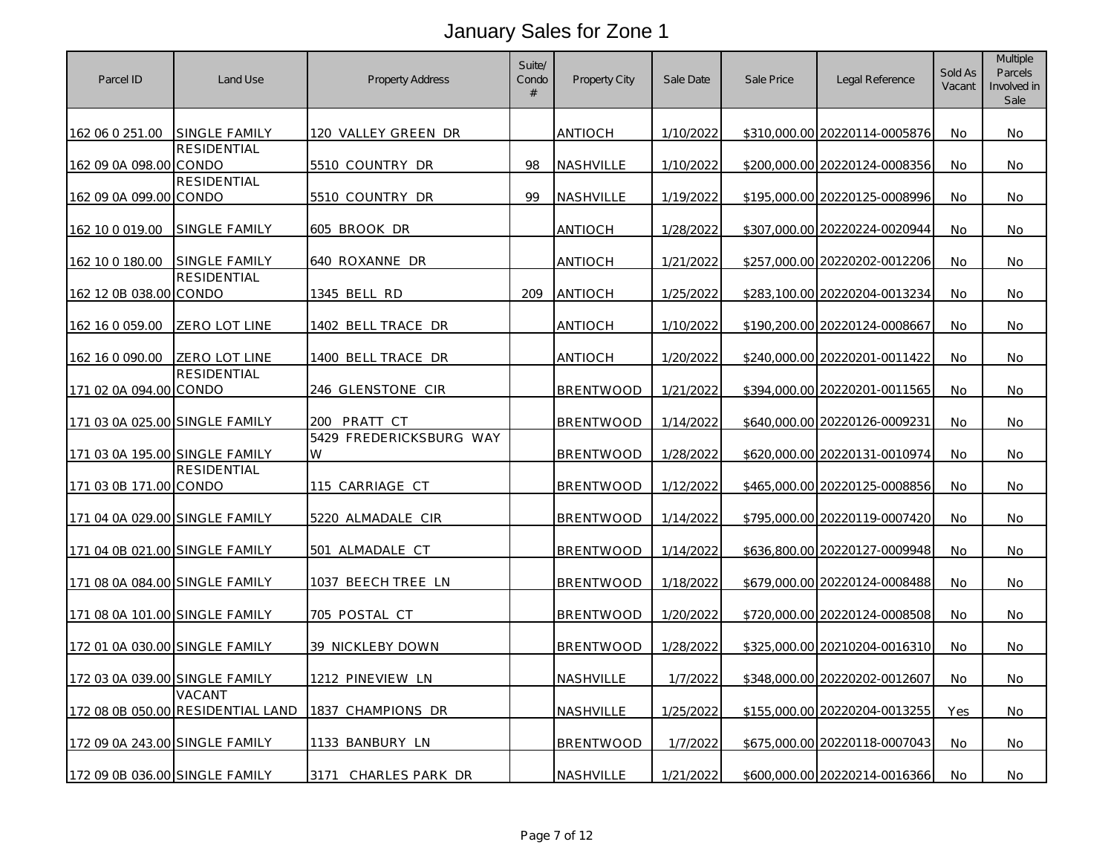| Parcel ID                      | Land Use                                    | <b>Property Address</b>      | Suite/<br>Condo<br># | Property City    | Sale Date | Sale Price | Legal Reference               | Sold As<br>Vacant | Multiple<br>Parcels<br>Involved in<br>Sale |
|--------------------------------|---------------------------------------------|------------------------------|----------------------|------------------|-----------|------------|-------------------------------|-------------------|--------------------------------------------|
| 162 06 0 251.00                | SINGLE FAMILY                               | 120 VALLEY GREEN DR          |                      | ANTIOCH          | 1/10/2022 |            | \$310,000.00 20220114-0005876 | No                | No                                         |
| 162 09 0A 098.00 CONDO         | <b>RESIDENTIAL</b>                          | 5510 COUNTRY DR              | 98                   | NASHVILLE        | 1/10/2022 |            | \$200,000.00 20220124-0008356 | No                | No.                                        |
| 162 09 0A 099.00 CONDO         | RESIDENTIAL                                 | 5510 COUNTRY DR              | 99                   | NASHVILLE        | 1/19/2022 |            | \$195,000.00 20220125-0008996 | No                | No                                         |
| 162 10 0 019.00                | SINGLE FAMILY                               | 605 BROOK DR                 |                      | <b>ANTIOCH</b>   | 1/28/2022 |            | \$307,000.00 20220224-0020944 | No                | No                                         |
| 162 10 0 180.00                | <b>SINGLE FAMILY</b>                        | 640 ROXANNE DR               |                      | <b>ANTIOCH</b>   | 1/21/2022 |            | \$257,000.00 20220202-0012206 | No                | No                                         |
| 162 12 0B 038.00 CONDO         | RESIDENTIAL                                 | 1345 BELL<br>RD              | 209                  | <b>ANTIOCH</b>   | 1/25/2022 |            | \$283,100.00 20220204-0013234 | <b>No</b>         | <b>No</b>                                  |
| 162 16 0 059.00                | <b>ZERO LOT LINE</b>                        | 1402 BELL TRACE DR           |                      | ANTIOCH          | 1/10/2022 |            | \$190,200.00 20220124-0008667 | No.               | No.                                        |
| 162 16 0 090.00                | ZERO LOT LINE                               | 1400 BELL TRACE DR           |                      | <b>ANTIOCH</b>   | 1/20/2022 |            | \$240,000.00 20220201-0011422 | <b>No</b>         | No.                                        |
| 171 02 0A 094.00 CONDO         | RESIDENTIAL                                 | 246 GLENSTONE CIR            |                      | <b>BRENTWOOD</b> | 1/21/2022 |            | \$394,000.00 20220201-0011565 | No                | No                                         |
| 171 03 0A 025.00 SINGLE FAMILY |                                             | 200 PRATT CT                 |                      | <b>BRENTWOOD</b> | 1/14/2022 |            | \$640,000.00 20220126-0009231 | <b>No</b>         | No.                                        |
| 171 03 0A 195.00 SINGLE FAMILY |                                             | 5429 FREDERICKSBURG WAY<br>W |                      | <b>BRENTWOOD</b> | 1/28/2022 |            | \$620,000.00 20220131-0010974 | No                | No.                                        |
| 171 03 0B 171.00 CONDO         | RESIDENTIAL                                 | 115 CARRIAGE CT              |                      | <b>BRENTWOOD</b> | 1/12/2022 |            | \$465,000.00 20220125-0008856 | No                | No                                         |
| 171 04 0A 029.00 SINGLE FAMILY |                                             | 5220 ALMADALE CIR            |                      | <b>BRENTWOOD</b> | 1/14/2022 |            | \$795,000.00 20220119-0007420 | No                | No.                                        |
| 171 04 0B 021.00 SINGLE FAMILY |                                             | 501 ALMADALE CT              |                      | <b>BRENTWOOD</b> | 1/14/2022 |            | \$636,800.00 20220127-0009948 | <b>No</b>         | No.                                        |
| 171 08 0A 084.00 SINGLE FAMILY |                                             | 1037 BEECH TREE LN           |                      | <b>BRENTWOOD</b> | 1/18/2022 |            | \$679,000.00 20220124-0008488 | No                | No                                         |
| 171 08 0A 101.00 SINGLE FAMILY |                                             | 705 POSTAL CT                |                      | <b>BRENTWOOD</b> | 1/20/2022 |            | \$720,000.00 20220124-0008508 | No                | No                                         |
| 172 01 0A 030.00 SINGLE FAMILY |                                             | 39 NICKLEBY DOWN             |                      | <b>BRENTWOOD</b> | 1/28/2022 |            | \$325,000.00 20210204-0016310 | No                | No.                                        |
| 172 03 0A 039.00 SINGLE FAMILY |                                             | 1212 PINEVIEW LN             |                      | NASHVILLE        | 1/7/2022  |            | \$348,000.00 20220202-0012607 | No                | No.                                        |
|                                | VACANT<br>172 08 0B 050.00 RESIDENTIAL LAND | 1837 CHAMPIONS DR            |                      | NASHVILLE        | 1/25/2022 |            | \$155,000.00 20220204-0013255 | Yes               | No.                                        |
| 172 09 0A 243.00 SINGLE FAMILY |                                             | 1133 BANBURY LN              |                      | <b>BRENTWOOD</b> | 1/7/2022  |            | \$675,000.00 20220118-0007043 | No.               | No                                         |
| 172 09 0B 036.00 SINGLE FAMILY |                                             | 3171 CHARLES PARK DR         |                      | NASHVILLE        | 1/21/2022 |            | \$600,000.00 20220214-0016366 | <b>No</b>         | No.                                        |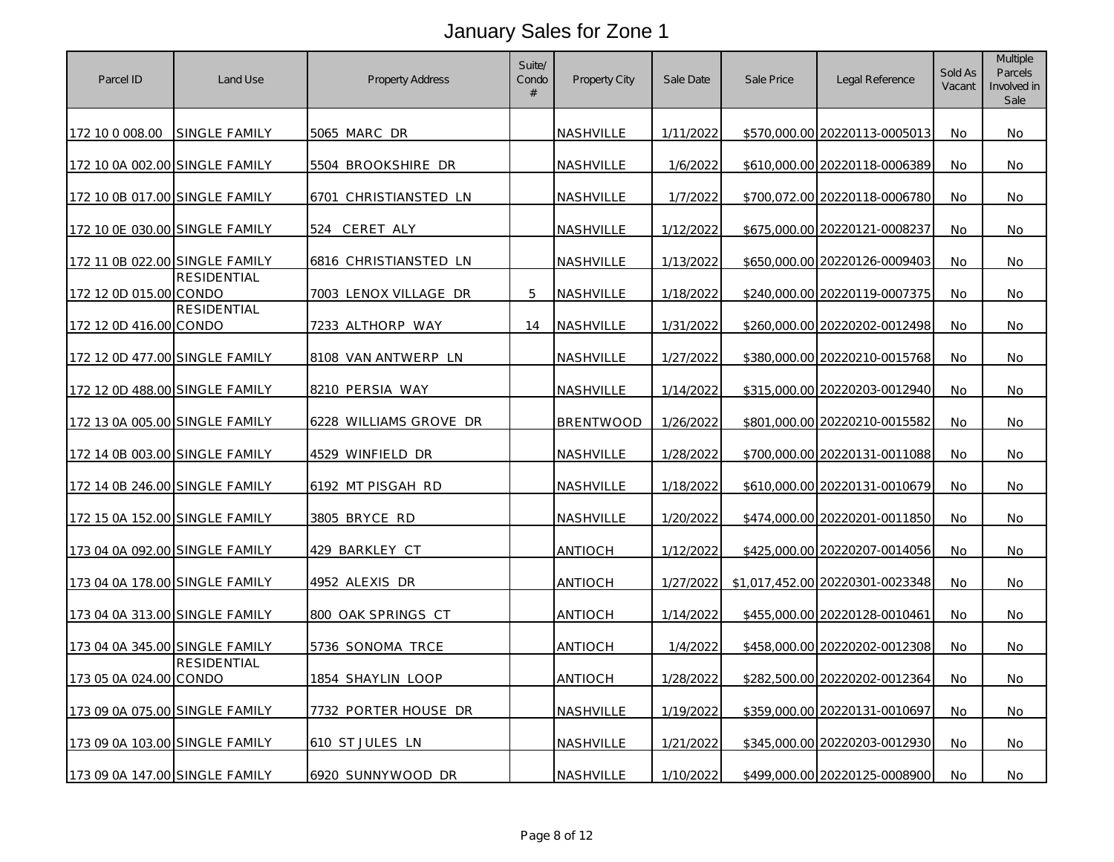| Parcel ID                      | Land Use             | <b>Property Address</b> | Suite/<br>Condo<br># | Property City    | Sale Date | Sale Price | Legal Reference                 | Sold As<br>Vacant | <b>Multiple</b><br>Parcels<br>Involved in<br>Sale |
|--------------------------------|----------------------|-------------------------|----------------------|------------------|-----------|------------|---------------------------------|-------------------|---------------------------------------------------|
| 172 10 0 008.00                | <b>SINGLE FAMILY</b> | 5065 MARC DR            |                      | <b>NASHVILLE</b> | 1/11/2022 |            | \$570,000.00 20220113-0005013   | No                | No                                                |
| 172 10 0A 002.00 SINGLE FAMILY |                      | 5504 BROOKSHIRE DR      |                      | NASHVILLE        | 1/6/2022  |            | \$610,000.00 20220118-0006389   | No                | No                                                |
| 172 10 0B 017.00 SINGLE FAMILY |                      | 6701 CHRISTIANSTED LN   |                      | <b>NASHVILLE</b> | 1/7/2022  |            | \$700,072.00 20220118-0006780   | No.               | No                                                |
| 172 10 0E 030.00 SINGLE FAMILY |                      | CERET ALY<br>524        |                      | NASHVILLE        | 1/12/2022 |            | \$675,000.00 20220121-0008237   | <b>No</b>         | No                                                |
| 172 11 0B 022.00 SINGLE FAMILY |                      | 6816 CHRISTIANSTED LN   |                      | <b>NASHVILLE</b> | 1/13/2022 |            | \$650,000,00 20220126-0009403   | No.               | No.                                               |
| 172 12 0D 015.00 CONDO         | <b>RESIDENTIAL</b>   | 7003 LENOX VILLAGE DR   | 5                    | NASHVILLE        | 1/18/2022 |            | \$240,000.00 20220119-0007375   | No.               | <b>No</b>                                         |
| 172 12 0D 416.00 CONDO         | <b>RESIDENTIAL</b>   | 7233 ALTHORP WAY        | 14                   | <b>NASHVILLE</b> | 1/31/2022 |            | \$260,000.00 20220202-0012498   | No.               | No                                                |
| 172 12 0D 477.00 SINGLE FAMILY |                      | 8108 VAN ANTWERP LN     |                      | NASHVILLE        | 1/27/2022 |            | \$380,000.00 20220210-0015768   | No                | No                                                |
| 172 12 0D 488.00 SINGLE FAMILY |                      | 8210 PERSIA WAY         |                      | NASHVILLE        | 1/14/2022 |            | \$315,000.00 20220203-0012940   | <b>No</b>         | No                                                |
| 172 13 0A 005.00 SINGLE FAMILY |                      | 6228 WILLIAMS GROVE DR  |                      | <b>BRENTWOOD</b> | 1/26/2022 |            | \$801.000.00 20220210-0015582   | No.               | No                                                |
| 172 14 0B 003.00 SINGLE FAMILY |                      | 4529 WINFIELD DR        |                      | NASHVILLE        | 1/28/2022 |            | \$700,000.00 20220131-0011088   | <b>No</b>         | No                                                |
| 172 14 0B 246.00 SINGLE FAMILY |                      | 6192 MT PISGAH RD       |                      | NASHVILLE        | 1/18/2022 |            | \$610,000.00 20220131-0010679   | No                | No                                                |
| 172 15 0A 152.00 SINGLE FAMILY |                      | 3805 BRYCE RD           |                      | NASHVILLE        | 1/20/2022 |            | \$474,000.00 20220201-0011850   | No                | No                                                |
| 173 04 0A 092.00 SINGLE FAMILY |                      | 429 BARKLEY CT          |                      | ANTIOCH          | 1/12/2022 |            | \$425,000.00 20220207-0014056   | No                | No                                                |
| 173 04 0A 178.00 SINGLE FAMILY |                      | 4952 ALEXIS DR          |                      | <b>ANTIOCH</b>   | 1/27/2022 |            | \$1,017,452.00 20220301-0023348 | No.               | No                                                |
| 173 04 0A 313.00 SINGLE FAMILY |                      | 800 OAK SPRINGS CT      |                      | ANTIOCH          | 1/14/2022 |            | \$455,000.00 20220128-0010461   | No.               | No                                                |
| 173 04 0A 345.00 SINGLE FAMILY |                      | 5736 SONOMA TRCE        |                      | ANTIOCH          | 1/4/2022  |            | \$458,000.00 20220202-0012308   | No                | No                                                |
| 173 05 0A 024.00 CONDO         | <b>RESIDENTIAL</b>   | 1854 SHAYLIN LOOP       |                      | ANTIOCH          | 1/28/2022 |            | \$282,500.00 20220202-0012364   | No.               | No                                                |
| 173 09 0A 075.00 SINGLE FAMILY |                      | 7732 PORTER HOUSE DR    |                      | NASHVILLE        | 1/19/2022 |            | \$359,000.00 20220131-0010697   | <b>No</b>         | <b>No</b>                                         |
| 173 09 0A 103.00 SINGLE FAMILY |                      | 610 ST JULES LN         |                      | <b>NASHVILLE</b> | 1/21/2022 |            | \$345,000.00 20220203-0012930   | No.               | No                                                |
| 173 09 0A 147.00 SINGLE FAMILY |                      | 6920 SUNNYWOOD DR       |                      | NASHVILLE        | 1/10/2022 |            | \$499,000.00 20220125-0008900   | No.               | No                                                |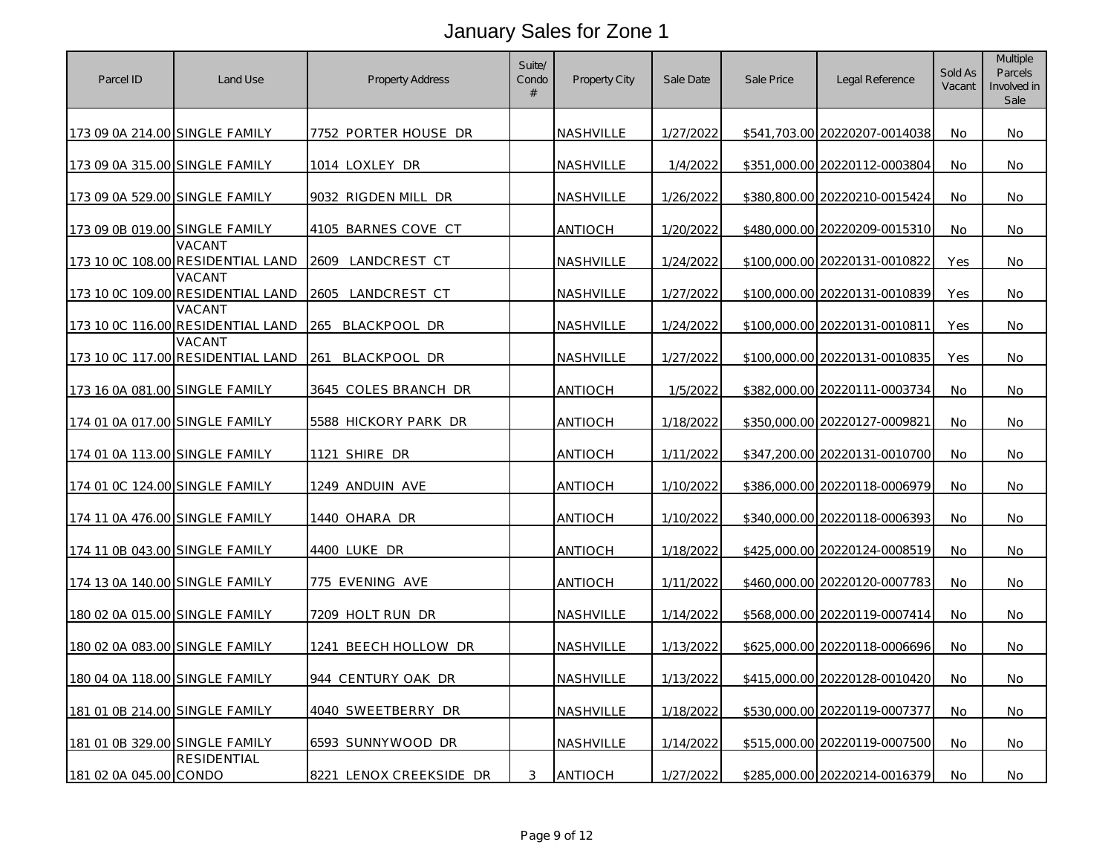| Parcel ID                      | Land Use                                    | Property Address        | Suite/<br>Condo<br># | Property City    | Sale Date | Sale Price | Legal Reference               | Sold As<br>Vacant | <b>Multiple</b><br>Parcels<br>Involved in<br>Sale |
|--------------------------------|---------------------------------------------|-------------------------|----------------------|------------------|-----------|------------|-------------------------------|-------------------|---------------------------------------------------|
| 173 09 0A 214.00 SINGLE FAMILY |                                             | 7752 PORTER HOUSE DR    |                      | NASHVILLE        | 1/27/2022 |            | \$541,703.00 20220207-0014038 | No.               | No.                                               |
| 173 09 0A 315.00 SINGLE FAMILY |                                             | 1014 LOXLEY DR          |                      | NASHVILLE        | 1/4/2022  |            | \$351,000.00 20220112-0003804 | No                | No.                                               |
| 173 09 0A 529.00 SINGLE FAMILY |                                             | 9032 RIGDEN MILL DR     |                      | NASHVILLE        | 1/26/2022 |            | \$380,800.00 20220210-0015424 | No.               | No.                                               |
| 173 09 0B 019.00 SINGLE FAMILY |                                             | 4105 BARNES COVE CT     |                      | ANTIOCH          | 1/20/2022 |            | \$480,000.00 20220209-0015310 | <b>No</b>         | No.                                               |
|                                | VACANT<br>173 10 0C 108.00 RESIDENTIAL LAND | 2609 LANDCREST CT       |                      | <b>NASHVILLE</b> | 1/24/2022 |            | \$100,000.00 20220131-0010822 | Yes               | No                                                |
| 173 10 0C 109.00               | VACANT<br><b>RESIDENTIAL LAND</b>           | LANDCREST CT<br>2605    |                      | NASHVILLE        | 1/27/2022 |            | \$100,000.00 20220131-0010839 | Yes               | No.                                               |
|                                | VACANT<br>173 10 0C 116.00 RESIDENTIAL LAND | 265<br>BLACKPOOL DR     |                      | NASHVILLE        | 1/24/2022 |            | \$100,000.00 20220131-0010811 | Yes               | No.                                               |
|                                | VACANT<br>173 10 0C 117.00 RESIDENTIAL LAND | 261<br>BLACKPOOL DR     |                      | <u>NASHVILLE</u> | 1/27/2022 |            | \$100,000.00 20220131-0010835 | Yes               | No.                                               |
| 173 16 0A 081.00 SINGLE FAMILY |                                             | 3645 COLES BRANCH DR    |                      | <b>ANTIOCH</b>   | 1/5/2022  |            | \$382,000.00 20220111-0003734 | No                | No.                                               |
| 174 01 0A 017.00 SINGLE FAMILY |                                             | 5588 HICKORY PARK DR    |                      | ANTIOCH          | 1/18/2022 |            | \$350,000.00 20220127-0009821 | No.               | No                                                |
| 174 01 0A 113.00 SINGLE FAMILY |                                             | 1121 SHIRE DR           |                      | <b>ANTIOCH</b>   | 1/11/2022 |            | \$347,200.00 20220131-0010700 | No                | No.                                               |
| 174 01 OC 124.00 SINGLE FAMILY |                                             | 1249 ANDUIN AVE         |                      | ANTIOCH          | 1/10/2022 |            | \$386,000.00 20220118-0006979 | No                | No                                                |
| 174 11 0A 476.00 SINGLE FAMILY |                                             | 1440 OHARA DR           |                      | ANTIOCH          | 1/10/2022 |            | \$340,000.00 20220118-0006393 | No                | No.                                               |
| 174 11 0B 043.00 SINGLE FAMILY |                                             | 4400 LUKE DR            |                      | ANTIOCH          | 1/18/2022 |            | \$425,000.00 20220124-0008519 | No                | No.                                               |
| 174 13 0A 140.00 SINGLE FAMILY |                                             | 775 EVENING AVE         |                      | ANTIOCH          | 1/11/2022 |            | \$460,000.00 20220120-0007783 | No                | <b>No</b>                                         |
| 180 02 0A 015.00 SINGLE FAMILY |                                             | 7209 HOLT RUN DR        |                      | NASHVILLE        | 1/14/2022 |            | \$568,000.00 20220119-0007414 | No                | No                                                |
| 180 02 0A 083.00 SINGLE FAMILY |                                             | 1241 BEECH HOLLOW DR    |                      | NASHVILLE        | 1/13/2022 |            | \$625,000.00 20220118-0006696 | No                | No                                                |
| 180 04 0A 118.00 SINGLE FAMILY |                                             | 944 CENTURY OAK DR      |                      | NASHVILLE        | 1/13/2022 |            | \$415,000.00 20220128-0010420 | <b>No</b>         | No                                                |
| 181 01 0B 214.00 SINGLE FAMILY |                                             | 4040 SWEETBERRY DR      |                      | NASHVILLE        | 1/18/2022 |            | \$530,000.00 20220119-0007377 | No                | No                                                |
| 181 01 0B 329.00 SINGLE FAMILY |                                             | 6593 SUNNYWOOD DR       |                      | NASHVILLE        | 1/14/2022 |            | \$515,000.00 20220119-0007500 | No.               | No                                                |
| 181 02 0A 045.00 CONDO         | RESIDENTIAL                                 | 8221 LENOX CREEKSIDE DR | 3                    | ANTIOCH          | 1/27/2022 |            | \$285,000.00 20220214-0016379 | No                | No                                                |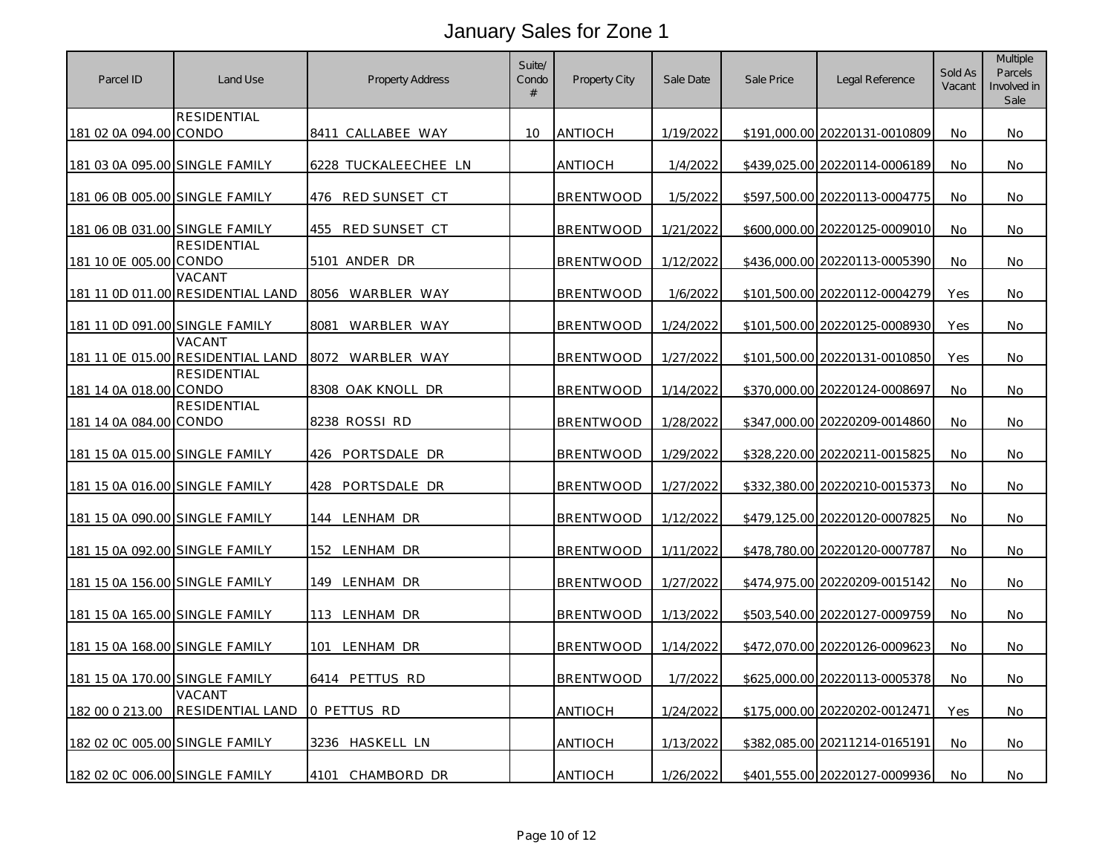| Parcel ID                      | Land Use                                    | Property Address     | Suite/<br>Condo<br># | Property City    | Sale Date | Sale Price | Legal Reference               | Sold As<br>Vacant | Multiple<br>Parcels<br>Involved in<br>Sale |
|--------------------------------|---------------------------------------------|----------------------|----------------------|------------------|-----------|------------|-------------------------------|-------------------|--------------------------------------------|
| 181 02 0A 094.00 CONDO         | <b>RESIDENTIAL</b>                          | 8411 CALLABEE WAY    | 10                   | ANTIOCH          | 1/19/2022 |            | \$191,000.00 20220131-0010809 | No                | No.                                        |
| 181 03 0A 095.00 SINGLE FAMILY |                                             | 6228 TUCKALEECHEE LN |                      | <b>ANTIOCH</b>   | 1/4/2022  |            | \$439,025.00 20220114-0006189 | No                | No.                                        |
| 181 06 0B 005.00 SINGLE FAMILY |                                             | 476 RED SUNSET CT    |                      | <b>BRENTWOOD</b> | 1/5/2022  |            | \$597,500.00 20220113-0004775 | No.               | No.                                        |
| 181 06 0B 031.00 SINGLE FAMILY |                                             | 455<br>RED SUNSET CT |                      | <b>BRENTWOOD</b> | 1/21/2022 |            | \$600,000.00 20220125-0009010 | <b>No</b>         | No                                         |
| 181 10 0E 005.00 CONDO         | <b>RESIDENTIAL</b>                          | 5101 ANDER DR        |                      | <b>BRENTWOOD</b> | 1/12/2022 |            | \$436,000.00 20220113-0005390 | No.               | No.                                        |
|                                | VACANT<br>181 11 0D 011.00 RESIDENTIAL LAND | 8056 WARBLER WAY     |                      | <b>BRENTWOOD</b> | 1/6/2022  |            | \$101,500.00 20220112-0004279 | Yes               | No.                                        |
| 181 11 0D 091.00 SINGLE FAMILY |                                             | WARBLER WAY<br>8081  |                      | <b>BRENTWOOD</b> | 1/24/2022 |            | \$101,500.00 20220125-0008930 | Yes               | No.                                        |
|                                | VACANT<br>181 11 0E 015.00 RESIDENTIAL LAND | 8072<br>WARBLER WAY  |                      | <b>BRENTWOOD</b> | 1/27/2022 |            | \$101,500.00 20220131-0010850 | Yes               | No.                                        |
| 181 14 0A 018.00 CONDO         | <b>RESIDENTIAL</b>                          | 8308 OAK KNOLL DR    |                      | <b>BRENTWOOD</b> | 1/14/2022 |            | \$370,000.00 20220124-0008697 | No                | No.                                        |
| 181 14 0A 084.00 CONDO         | RESIDENTIAL                                 | 8238 ROSSI RD        |                      | <b>BRENTWOOD</b> | 1/28/2022 |            | \$347,000.00 20220209-0014860 | No                | No.                                        |
| 181 15 0A 015.00 SINGLE FAMILY |                                             | 426 PORTSDALE DR     |                      | <b>BRENTWOOD</b> | 1/29/2022 |            | \$328,220.00 20220211-0015825 | <b>No</b>         | No.                                        |
| 181 15 0A 016.00 SINGLE FAMILY |                                             | PORTSDALE DR<br>428  |                      | <b>BRENTWOOD</b> | 1/27/2022 |            | \$332,380.00 20220210-0015373 | No                | No                                         |
| 181 15 0A 090.00 SINGLE FAMILY |                                             | 144 LENHAM DR        |                      | <b>BRENTWOOD</b> | 1/12/2022 |            | \$479,125.00 20220120-0007825 | No                | No.                                        |
| 181 15 0A 092.00 SINGLE FAMILY |                                             | 152 LENHAM DR        |                      | <b>BRENTWOOD</b> | 1/11/2022 |            | \$478,780.00 20220120-0007787 | No                | No                                         |
| 181 15 0A 156.00 SINGLE FAMILY |                                             | 149 LENHAM DR        |                      | <b>BRENTWOOD</b> | 1/27/2022 |            | \$474,975.00 20220209-0015142 | No                | No.                                        |
| 181 15 0A 165.00 SINGLE FAMILY |                                             | 113 LENHAM DR        |                      | <b>BRENTWOOD</b> | 1/13/2022 |            | \$503,540.00 20220127-0009759 | No                | No.                                        |
| 181 15 0A 168.00 SINGLE FAMILY |                                             | LENHAM DR<br>101     |                      | <b>BRENTWOOD</b> | 1/14/2022 |            | \$472,070.00 20220126-0009623 | No                | No.                                        |
| 181 15 0A 170.00 SINGLE FAMILY | VACANT                                      | 6414 PETTUS RD       |                      | <b>BRENTWOOD</b> | 1/7/2022  |            | \$625,000.00 20220113-0005378 | No                | No.                                        |
| 182 00 0 213.00                | RESIDENTIAL LAND                            | O PETTUS RD          |                      | ANTIOCH          | 1/24/2022 |            | \$175,000.00 20220202-0012471 | Yes               | <b>No</b>                                  |
| 182 02 0C 005.00 SINGLE FAMILY |                                             | 3236 HASKELL LN      |                      | ANTIOCH          | 1/13/2022 |            | \$382,085.00 20211214-0165191 | No                | No                                         |
| 182 02 0C 006.00 SINGLE FAMILY |                                             | 4101<br>CHAMBORD DR  |                      | ANTIOCH          | 1/26/2022 |            | \$401,555.00 20220127-0009936 | No                | No                                         |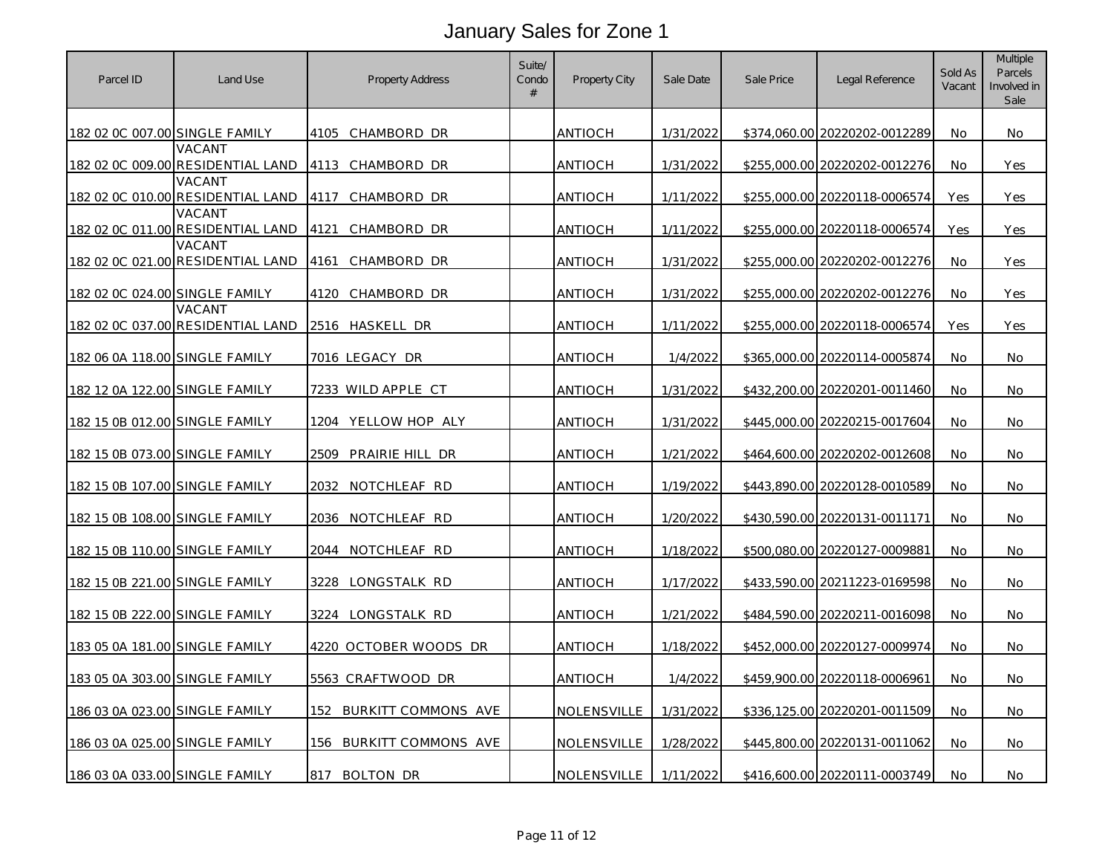| Parcel ID                             | Land Use                                    | <b>Property Address</b>    | Suite/<br>Condo<br># | <b>Property City</b> | Sale Date | Sale Price | Legal Reference               | Sold As<br>Vacant | Multiple<br>Parcels<br>Involved in<br>Sale |
|---------------------------------------|---------------------------------------------|----------------------------|----------------------|----------------------|-----------|------------|-------------------------------|-------------------|--------------------------------------------|
| 182 02 0C 007.00 SINGLE FAMILY        |                                             | 4105<br>CHAMBORD DR        |                      | ANTIOCH              | 1/31/2022 |            | \$374,060.00 20220202-0012289 | No                | No                                         |
|                                       | VACANT<br>182 02 0C 009.00 RESIDENTIAL LAND | 4113 CHAMBORD DR           |                      | ANTIOCH              | 1/31/2022 |            | \$255,000,00 20220202-0012276 | No                | Yes                                        |
|                                       | VACANT<br>182 02 0C 010.00 RESIDENTIAL LAND | 4117<br>CHAMBORD DR        |                      | ANTIOCH              | 1/11/2022 |            | \$255,000.00 20220118-0006574 | Yes               | Yes                                        |
|                                       | VACANT<br>182 02 0C 011.00 RESIDENTIAL LAND | 4121<br>CHAMBORD DR        |                      | ANTIOCH              | 1/11/2022 |            | \$255,000.00 20220118-0006574 | Yes               | Yes                                        |
|                                       | VACANT<br>182 02 0C 021.00 RESIDENTIAL LAND | 4161 CHAMBORD DR           |                      | <b>ANTIOCH</b>       | 1/31/2022 |            | \$255,000.00 20220202-0012276 | <b>No</b>         | Yes                                        |
| 182 02 0C 024.00 SINGLE FAMILY        |                                             | CHAMBORD DR<br>4120        |                      | <b>ANTIOCH</b>       | 1/31/2022 |            | \$255,000.00 20220202-0012276 | No.               | Yes                                        |
|                                       | VACANT<br>182 02 0C 037.00 RESIDENTIAL LAND | 2516 HASKELL DR            |                      | <b>ANTIOCH</b>       | 1/11/2022 |            | \$255,000.00 20220118-0006574 | Yes               | Yes                                        |
| 182 06 0A 118.00 SINGLE FAMILY        |                                             | 7016 LEGACY DR             |                      | ANTIOCH              | 1/4/2022  |            | \$365,000.00 20220114-0005874 | <b>No</b>         | <b>No</b>                                  |
| 182 12 0A 122.00 SINGLE FAMILY        |                                             | 7233 WILD APPLE CT         |                      | ANTIOCH              | 1/31/2022 |            | \$432,200.00 20220201-0011460 | No.               | No                                         |
| 182 15 0B 012.00 SINGLE FAMILY        |                                             | 1204 YELLOW HOP ALY        |                      | ANTIOCH              | 1/31/2022 |            | \$445,000.00 20220215-0017604 | No.               | No                                         |
| 182 15 0B 073.00 SINGLE FAMILY        |                                             | 2509<br>PRAIRIE HILL DR    |                      | ANTIOCH              | 1/21/2022 |            | \$464,600.00 20220202-0012608 | No.               | No                                         |
| 182 15 0B 107.00 SINGLE FAMILY        |                                             | 2032<br>NOTCHLEAF RD       |                      | ANTIOCH              | 1/19/2022 |            | \$443,890.00 20220128-0010589 | No                | No                                         |
| 182 15 0B 108.00 SINGLE FAMILY        |                                             | 2036 NOTCHLEAF RD          |                      | ANTIOCH              | 1/20/2022 |            | \$430,590.00 20220131-0011171 | No.               | No                                         |
| 182 15 0B 110.00 SINGLE FAMILY        |                                             | 2044<br>NOTCHLEAF RD       |                      | <b>ANTIOCH</b>       | 1/18/2022 |            | \$500,080.00 20220127-0009881 | No.               | No                                         |
| 182 15 0B 221.00 SINGLE FAMILY        |                                             | 3228 LONGSTALK RD          |                      | ANTIOCH              | 1/17/2022 |            | \$433,590.00 20211223-0169598 | No.               | No.                                        |
| 182 15 0B 222.00 SINGLE FAMILY        |                                             | 3224 LONGSTALK RD          |                      | <b>ANTIOCH</b>       | 1/21/2022 |            | \$484,590.00 20220211-0016098 | No                | No                                         |
| <u>183 05 0A 181.00 SINGLE FAMILY</u> |                                             | 4220 OCTOBER WOODS DR      |                      | <b>ANTIOCH</b>       | 1/18/2022 |            | \$452,000.00 20220127-0009974 | No                | No                                         |
| 183 05 0A 303.00 SINGLE FAMILY        |                                             | 5563 CRAFTWOOD DR          |                      | ANTIOCH              | 1/4/2022  |            | \$459,900.00 20220118-0006961 | No.               | No                                         |
| 186 03 0A 023.00 SINGLE FAMILY        |                                             | BURKITT COMMONS AVE<br>152 |                      | NOLENSVILLE          | 1/31/2022 |            | \$336,125.00 20220201-0011509 | <b>No</b>         | No.                                        |
| 186 03 0A 025.00 SINGLE FAMILY        |                                             | 156 BURKITT COMMONS AVE    |                      | NOLENSVILLE          | 1/28/2022 |            | \$445,800.00 20220131-0011062 | <b>No</b>         | No                                         |
| 186 03 0A 033.00 SINGLE FAMILY        |                                             | 817<br>BOLTON DR           |                      | NOLENSVILLE          | 1/11/2022 |            | \$416,600.00 20220111-0003749 | No                | No                                         |